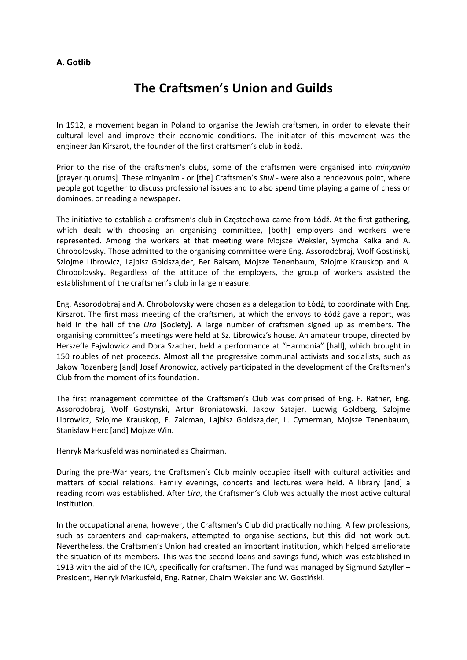## **A. Gotlib**

## **The Craftsmen's Union and Guilds**

In 1912, a movement began in Poland to organise the Jewish craftsmen, in order to elevate their cultural level and improve their economic conditions. The initiator of this movement was the engineer Jan Kirszrot, the founder of the first craftsmen's club in Łódź.

Prior to the rise of the craftsmen's clubs, some of the craftsmen were organised into *minyanim* [prayer quorums]. These minyanim ‐ or [the] Craftsmen's *Shul* ‐ were also a rendezvous point, where people got together to discuss professional issues and to also spend time playing a game of chess or dominoes, or reading a newspaper.

The initiative to establish a craftsmen's club in Częstochowa came from Łódź. At the first gathering, which dealt with choosing an organising committee, [both] employers and workers were represented. Among the workers at that meeting were Mojsze Weksler, Symcha Kalka and A. Chrobolovsky. Those admitted to the organising committee were Eng. Assorodobraj, Wolf Gostiński, Szlojme Librowicz, Lajbisz Goldszajder, Ber Balsam, Mojsze Tenenbaum, Szlojme Krauskop and A. Chrobolovsky. Regardless of the attitude of the employers, the group of workers assisted the establishment of the craftsmen's club in large measure.

Eng. Assorodobraj and A. Chrobolovsky were chosen as a delegation to Łódź, to coordinate with Eng. Kirszrot. The first mass meeting of the craftsmen, at which the envoys to Łódź gave a report, was held in the hall of the *Lira* [Society]. A large number of craftsmen signed up as members. The organising committee's meetings were held at Sz. Librowicz's house. An amateur troupe, directed by Hersze'le Fajwlowicz and Dora Szacher, held a performance at "Harmonia" [hall], which brought in 150 roubles of net proceeds. Almost all the progressive communal activists and socialists, such as Jakow Rozenberg [and] Josef Aronowicz, actively participated in the development of the Craftsmen's Club from the moment of its foundation.

The first management committee of the Craftsmen's Club was comprised of Eng. F. Ratner, Eng. Assorodobraj, Wolf Gostynski, Artur Broniatowski, Jakow Sztajer, Ludwig Goldberg, Szlojme Librowicz, Szlojme Krauskop, F. Zalcman, Lajbisz Goldszajder, L. Cymerman, Mojsze Tenenbaum, Stanisław Herc [and] Mojsze Win.

Henryk Markusfeld was nominated as Chairman.

During the pre‐War years, the Craftsmen's Club mainly occupied itself with cultural activities and matters of social relations. Family evenings, concerts and lectures were held. A library [and] a reading room was established. After *Lira*, the Craftsmen's Club was actually the most active cultural institution.

In the occupational arena, however, the Craftsmen's Club did practically nothing. A few professions, such as carpenters and cap-makers, attempted to organise sections, but this did not work out. Nevertheless, the Craftsmen's Union had created an important institution, which helped ameliorate the situation of its members. This was the second loans and savings fund, which was established in 1913 with the aid of the ICA, specifically for craftsmen. The fund was managed by Sigmund Sztyller – President, Henryk Markusfeld, Eng. Ratner, Chaim Weksler and W. Gostiński.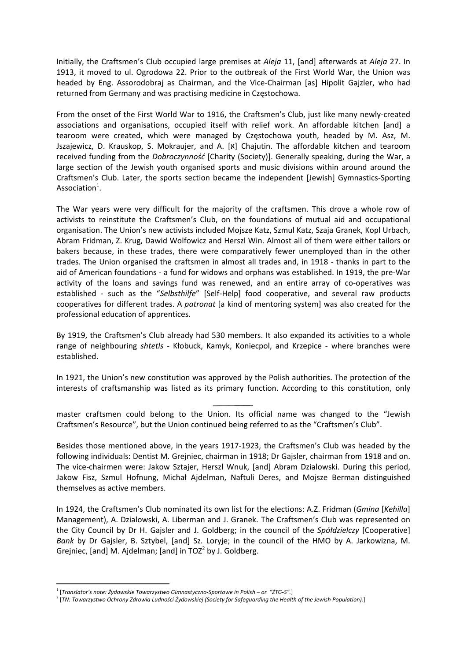Initially, the Craftsmen's Club occupied large premises at *Aleja* 11, [and] afterwards at *Aleja* 27. In 1913, it moved to ul. Ogrodowa 22. Prior to the outbreak of the First World War, the Union was headed by Eng. Assorodobraj as Chairman, and the Vice-Chairman [as] Hipolit Gaizler, who had returned from Germany and was practising medicine in Częstochowa.

From the onset of the First World War to 1916, the Craftsmen's Club, just like many newly‐created associations and organisations, occupied itself with relief work. An affordable kitchen [and] a tearoom were created, which were managed by Częstochowa youth, headed by M. Asz, M. Jszajewicz, D. Krauskop, S. Mokraujer, and A. [x] Chajutin. The affordable kitchen and tearoom received funding from the *Dobroczynność* [Charity (Society)]. Generally speaking, during the War, a large section of the Jewish youth organised sports and music divisions within around around the Craftsmen's Club. Later, the sports section became the independent [Jewish] Gymnastics‐Sporting Association $^1$ .

The War years were very difficult for the majority of the craftsmen. This drove a whole row of activists to reinstitute the Craftsmen's Club, on the foundations of mutual aid and occupational organisation. The Union's new activists included Mojsze Katz, Szmul Katz, Szaja Granek, Kopl Urbach, Abram Fridman, Z. Krug, Dawid Wolfowicz and Herszl Win. Almost all of them were either tailors or bakers because, in these trades, there were comparatively fewer unemployed than in the other trades. The Union organised the craftsmen in almost all trades and, in 1918 ‐ thanks in part to the aid of American foundations ‐ a fund for widows and orphans was established. In 1919, the pre‐War activity of the loans and savings fund was renewed, and an entire array of co-operatives was established - such as the "Selbsthilfe" [Self-Help] food cooperative, and several raw products cooperatives for different trades. A *patronat* [a kind of mentoring system] was also created for the professional education of apprentices.

By 1919, the Craftsmen's Club already had 530 members. It also expanded its activities to a whole range of neighbouring *shtetls* - Kłobuck, Kamyk, Koniecpol, and Krzepice - where branches were established.

In 1921, the Union's new constitution was approved by the Polish authorities. The protection of the interests of craftsmanship was listed as its primary function. According to this constitution, only

master craftsmen could belong to the Union. Its official name was changed to the "Jewish Craftsmen's Resource", but the Union continued being referred to as the "Craftsmen's Club".

Besides those mentioned above, in the years 1917‐1923, the Craftsmen's Club was headed by the following individuals: Dentist M. Grejniec, chairman in 1918; Dr Gajsler, chairman from 1918 and on. The vice-chairmen were: Jakow Sztajer, Herszl Wnuk, [and] Abram Dzialowski. During this period, Jakow Fisz, Szmul Hofnung, Michał Ajdelman, Naftuli Deres, and Mojsze Berman distinguished themselves as active members.

In 1924, the Craftsmen's Club nominated its own list for the elections: A.Z. Fridman (*Gmina* [*Kehilla*] Management), A. Dzialowski, A. Liberman and J. Granek. The Craftsmen's Club was represented on the City Council by Dr H. Gajsler and J. Goldberg; in the council of the *Spółdzielczy* [Cooperative] *Bank* by Dr Gajsler, B. Sztybel, [and] Sz. Loryje; in the council of the HMO by A. Jarkowizna, M. Grejniec, [and] M. Ajdelman; [and] in  $TOZ<sup>2</sup>$  by J. Goldberg.

<sup>1</sup> [*Translator's note: Żydowskie Towarzystwo Gimnastyczno‐Sportowe in Polish – or "ŻTG‐S".*]

 $2\sqrt{TN}$ : Towarzystwo Ochrony Zdrowia Ludności Żydowskiej (Society for Safeguarding the Health of the Jewish Population).]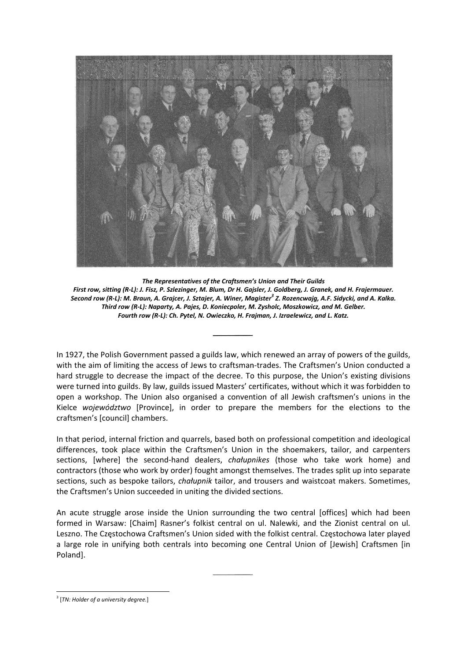

The Representatives of the Craftsmen's Union and Their Guilds First row, sitting (R-L): J. Fisz, P. Szlezinger, M. Blum, Dr H. Gajsler, J. Goldberg, J. Granek, and H. Frajermauer. Second row (R-L): M. Braun, A. Grajcer, J. Sztajer, A. Winer, Magister<sup>3</sup> Z. Rozencwajg, A.F. Sidycki, and A. Kalka. Third row (R-L): Naparty, A. Pajes, D. Koniecpoler, M. Zysholc, Moszkowicz, and M. Gelber. Fourth row (R-L): Ch. Pytel, N. Owieczko, H. Frajman, J. Izraelewicz, and L. Katz.

In 1927, the Polish Government passed a guilds law, which renewed an array of powers of the guilds, with the aim of limiting the access of Jews to craftsman-trades. The Craftsmen's Union conducted a hard struggle to decrease the impact of the decree. To this purpose, the Union's existing divisions were turned into guilds. By law, guilds issued Masters' certificates, without which it was forbidden to open a workshop. The Union also organised a convention of all Jewish craftsmen's unions in the Kielce województwo [Province], in order to prepare the members for the elections to the craftsmen's [council] chambers.

In that period, internal friction and quarrels, based both on professional competition and ideological differences, took place within the Craftsmen's Union in the shoemakers, tailor, and carpenters sections, [where] the second-hand dealers, chałupnikes (those who take work home) and contractors (those who work by order) fought amongst themselves. The trades split up into separate sections, such as bespoke tailors, chałupnik tailor, and trousers and waistcoat makers. Sometimes, the Craftsmen's Union succeeded in uniting the divided sections.

An acute struggle arose inside the Union surrounding the two central [offices] which had been formed in Warsaw: [Chaim] Rasner's folkist central on ul. Nalewki, and the Zionist central on ul. Leszno. The Częstochowa Craftsmen's Union sided with the folkist central. Częstochowa later played a large role in unifying both centrals into becoming one Central Union of [Jewish] Craftsmen [in Poland].

 $3$  [TN: Holder of a university degree.]